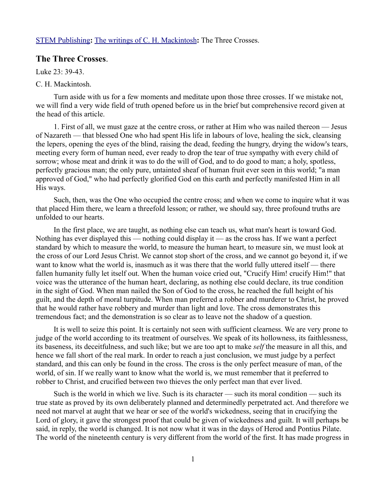## [STEM Publishing](http://www.stempublishing.com/)**:** [The writings of C. H. Mackintosh](http://www.stempublishing.com/authors/mackintosh/index.html)**:** The Three Crosses.

## **The Three Crosses**.

Luke  $23 \cdot 39 - 43$ .

## C. H. Mackintosh.

Turn aside with us for a few moments and meditate upon those three crosses. If we mistake not, we will find a very wide field of truth opened before us in the brief but comprehensive record given at the head of this article.

1. First of all, we must gaze at the centre cross, or rather at Him who was nailed thereon — Jesus of Nazareth — that blessed One who had spent His life in labours of love, healing the sick, cleansing the lepers, opening the eyes of the blind, raising the dead, feeding the hungry, drying the widow's tears, meeting every form of human need, ever ready to drop the tear of true sympathy with every child of sorrow; whose meat and drink it was to do the will of God, and to do good to man; a holy, spotless, perfectly gracious man; the only pure, untainted sheaf of human fruit ever seen in this world; "a man approved of God," who had perfectly glorified God on this earth and perfectly manifested Him in all His ways.

Such, then, was the One who occupied the centre cross; and when we come to inquire what it was that placed Him there, we learn a threefold lesson; or rather, we should say, three profound truths are unfolded to our hearts.

In the first place, we are taught, as nothing else can teach us, what man's heart is toward God. Nothing has ever displayed this — nothing could display it — as the cross has. If we want a perfect standard by which to measure the world, to measure the human heart, to measure sin, we must look at the cross of our Lord Jesus Christ. We cannot stop short of the cross, and we cannot go beyond it, if we want to know what the world is, inasmuch as it was there that the world fully uttered itself — there fallen humanity fully let itself out. When the human voice cried out, "Crucify Him! crucify Him!" that voice was the utterance of the human heart, declaring, as nothing else could declare, its true condition in the sight of God. When man nailed the Son of God to the cross, he reached the full height of his guilt, and the depth of moral turpitude. When man preferred a robber and murderer to Christ, he proved that he would rather have robbery and murder than light and love. The cross demonstrates this tremendous fact; and the demonstration is so clear as to leave not the shadow of a question.

It is well to seize this point. It is certainly not seen with sufficient clearness. We are very prone to judge of the world according to its treatment of ourselves. We speak of its hollowness, its faithlessness, its baseness, its deceitfulness, and such like; but we are too apt to make *self* the measure in all this, and hence we fall short of the real mark. In order to reach a just conclusion, we must judge by a perfect standard, and this can only be found in the cross. The cross is the only perfect measure of man, of the world, of sin. If we really want to know what the world is, we must remember that it preferred to robber to Christ, and crucified between two thieves the only perfect man that ever lived.

Such is the world in which we live. Such is its character — such its moral condition — such its true state as proved by its own deliberately planned and determinedly perpetrated act. And therefore we need not marvel at aught that we hear or see of the world's wickedness, seeing that in crucifying the Lord of glory, it gave the strongest proof that could be given of wickedness and guilt. It will perhaps be said, in reply, the world is changed. It is not now what it was in the days of Herod and Pontius Pilate. The world of the nineteenth century is very different from the world of the first. It has made progress in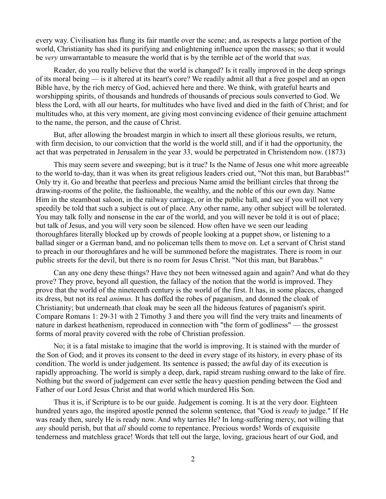every way. Civilisation has flung its fair mantle over the scene; and, as respects a large portion of the world, Christianity has shed its purifying and enlightening influence upon the masses; so that it would be *very* unwarrantable to measure the world that is by the terrible act of the world that *was.*

Reader, do you really believe that the world is changed? Is it really improved in the deep springs of its moral being — is it altered at its heart's core? We readily admit all that a free gospel and an open Bible have, by the rich mercy of God, achieved here and there. We think, with grateful hearts and worshipping spirits, of thousands and hundreds of thousands of precious souls converted to God. We bless the Lord, with all our hearts, for multitudes who have lived and died in the faith of Christ; and for multitudes who, at this very moment, are giving most convincing evidence of their genuine attachment to the name, the person, and the cause of Christ.

But, after allowing the broadest margin in which to insert all these glorious results, we return, with firm decision, to our conviction that the world is the world still, and if it had the opportunity, the act that was perpetrated in Jerusalem in the year 33, would be perpetrated in Christendom now. (1873)

This may seem severe and sweeping; but is it true? Is the Name of Jesus one whit more agreeable to the world to-day, than it was when its great religious leaders cried out, "Not this man, but Barabbas!" Only try it. Go and breathe that peerless and precious Name amid the brilliant circles that throng the drawing-rooms of the polite, the fashionable, the wealthy, and the noble of this our own day. Name Him in the steamboat saloon, in the railway carriage, or in the public hall, and see if you will not very speedily be told that such a subject is out of place. Any other name, any other subject will be tolerated. You may talk folly and nonsense in the ear of the world, and you will never be told it is out of place; but talk of Jesus, and you will very soon be silenced. How often have we seen our leading thoroughfares literally blocked up by crowds of people looking at a puppet show, or listening to a ballad singer or a German band, and no policeman tells them to move on. Let a servant of Christ stand to preach in our thoroughfares and he will be summoned before the magistrates. There is room in our public streets for the devil, but there is no room for Jesus Christ. "Not this man, but Barabbas."

Can any one deny these things? Have they not been witnessed again and again? And what do they prove? They prove, beyond all question, the fallacy of the notion that the world is improved. They prove that the world of the nineteenth century is the world of the first. It has, in some places, changed its dress, but not its real *animus.* It has doffed the robes of paganism, and donned the cloak of Christianity; but underneath that cloak may be seen all the hideous features of paganism's spirit. Compare Romans 1: 29-31 with 2 Timothy 3 and there you will find the very traits and lineaments of nature in darkest heathenism, reproduced in connection with "the form of godliness" — the grossest forms of moral pravity covered with the robe of Christian profession.

No; it is a fatal mistake to imagine that the world is improving. It is stained with the murder of the Son of God; and it proves its consent to the deed in every stage of its history, in every phase of its condition. The world is under judgement. Its sentence is passed; the awful day of its execution is rapidly approaching. The world is simply a deep, dark, rapid stream rushing onward to the lake of fire. Nothing but the sword of judgement can ever settle the heavy question pending between the God and Father of our Lord Jesus Christ and that world which murdered His Son.

Thus it is, if Scripture is to be our guide. Judgement is coming. It is at the very door. Eighteen hundred years ago, the inspired apostle penned the solemn sentence, that "God is *ready* to judge." If He was ready then, surely He is ready now. And why tarries He? In long-suffering mercy, not willing that *any* should perish, but that *all* should come to repentance. Precious words! Words of exquisite tenderness and matchless grace! Words that tell out the large, loving, gracious heart of our God, and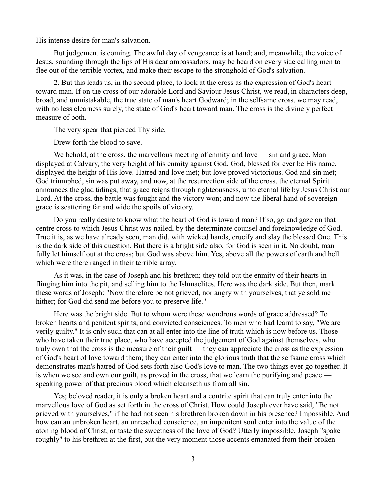His intense desire for man's salvation.

But judgement is coming. The awful day of vengeance is at hand; and, meanwhile, the voice of Jesus, sounding through the lips of His dear ambassadors, may be heard on every side calling men to flee out of the terrible vortex, and make their escape to the stronghold of God's salvation.

2. But this leads us, in the second place, to look at the cross as the expression of God's heart toward man. If on the cross of our adorable Lord and Saviour Jesus Christ, we read, in characters deep, broad, and unmistakable, the true state of man's heart Godward; in the selfsame cross, we may read, with no less clearness surely, the state of God's heart toward man. The cross is the divinely perfect measure of both.

The very spear that pierced Thy side,

Drew forth the blood to save.

We behold, at the cross, the marvellous meeting of enmity and love — sin and grace. Man displayed at Calvary, the very height of his enmity against God. God, blessed for ever be His name, displayed the height of His love. Hatred and love met; but love proved victorious. God and sin met; God triumphed, sin was put away, and now, at the resurrection side of the cross, the eternal Spirit announces the glad tidings, that grace reigns through righteousness, unto eternal life by Jesus Christ our Lord. At the cross, the battle was fought and the victory won; and now the liberal hand of sovereign grace is scattering far and wide the spoils of victory.

Do you really desire to know what the heart of God is toward man? If so, go and gaze on that centre cross to which Jesus Christ was nailed, by the determinate counsel and foreknowledge of God. True it is, as we have already seen, man did, with wicked hands, crucify and slay the blessed One. This is the dark side of this question. But there is a bright side also, for God is seen in it. No doubt, man fully let himself out at the cross; but God was above him. Yes, above all the powers of earth and hell which were there ranged in their terrible array.

As it was, in the case of Joseph and his brethren; they told out the enmity of their hearts in flinging him into the pit, and selling him to the Ishmaelites. Here was the dark side. But then, mark these words of Joseph: "Now therefore be not grieved, nor angry with yourselves, that ye sold me hither; for God did send me before you to preserve life."

Here was the bright side. But to whom were these wondrous words of grace addressed? To broken hearts and penitent spirits, and convicted consciences. To men who had learnt to say, "We are verily guilty." It is only such that can at all enter into the line of truth which is now before us. Those who have taken their true place, who have accepted the judgement of God against themselves, who truly own that the cross is the measure of their guilt — they can appreciate the cross as the expression of God's heart of love toward them; they can enter into the glorious truth that the selfsame cross which demonstrates man's hatred of God sets forth also God's love to man. The two things ever go together. It is when we see and own our guilt, as proved in the cross, that we learn the purifying and peace  $\overline{\phantom{a}}$ speaking power of that precious blood which cleanseth us from all sin.

Yes; beloved reader, it is only a broken heart and a contrite spirit that can truly enter into the marvellous love of God as set forth in the cross of Christ. How could Joseph ever have said, "Be not grieved with yourselves," if he had not seen his brethren broken down in his presence? Impossible. And how can an unbroken heart, an unreached conscience, an impenitent soul enter into the value of the atoning blood of Christ, or taste the sweetness of the love of God? Utterly impossible. Joseph "spake roughly" to his brethren at the first, but the very moment those accents emanated from their broken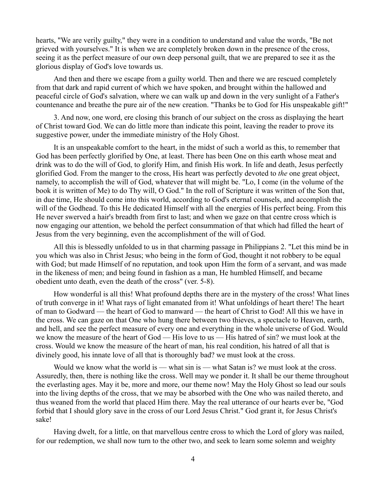hearts, "We are verily guilty," they were in a condition to understand and value the words, "Be not grieved with yourselves." It is when we are completely broken down in the presence of the cross, seeing it as the perfect measure of our own deep personal guilt, that we are prepared to see it as the glorious display of God's love towards us.

And then and there we escape from a guilty world. Then and there we are rescued completely from that dark and rapid current of which we have spoken, and brought within the hallowed and peaceful circle of God's salvation, where we can walk up and down in the very sunlight of a Father's countenance and breathe the pure air of the new creation. "Thanks be to God for His unspeakable gift!"

3. And now, one word, ere closing this branch of our subject on the cross as displaying the heart of Christ toward God. We can do little more than indicate this point, leaving the reader to prove its suggestive power, under the immediate ministry of the Holy Ghost.

It is an unspeakable comfort to the heart, in the midst of such a world as this, to remember that God has been perfectly glorified by One, at least. There has been One on this earth whose meat and drink was to do the will of God, to glorify Him, and finish His work. In life and death, Jesus perfectly glorified God. From the manger to the cross, His heart was perfectly devoted to *the* one great object, namely, to accomplish the will of God, whatever that will might be. "Lo, I come (in the volume of the book it is written of Me) to do Thy will, O God." In the roll of Scripture it was written of the Son that, in due time, He should come into this world, according to God's eternal counsels, and accomplish the will of the Godhead. To this He dedicated Himself with all the energies of His perfect being. From this He never swerved a hair's breadth from first to last; and when we gaze on that centre cross which is now engaging our attention, we behold the perfect consummation of that which had filled the heart of Jesus from the very beginning, even the accomplishment of the will of God.

All this is blessedly unfolded to us in that charming passage in Philippians 2. "Let this mind be in you which was also in Christ Jesus; who being in the form of God, thought it not robbery to be equal with God; but made Himself of no reputation, and took upon Him the form of a servant, and was made in the likeness of men; and being found in fashion as a man, He humbled Himself, and became obedient unto death, even the death of the cross" (ver. 5-8).

How wonderful is all this! What profound depths there are in the mystery of the cross! What lines of truth converge in it! What rays of light emanated from it! What unfoldings of heart there! The heart of man to Godward — the heart of God to manward — the heart of Christ to God! All this we have in the cross. We can gaze on that One who hung there between two thieves, a spectacle to Heaven, earth, and hell, and see the perfect measure of every one and everything in the whole universe of God. Would we know the measure of the heart of God — His love to us — His hatred of sin? we must look at the cross. Would we know the measure of the heart of man, his real condition, his hatred of all that is divinely good, his innate love of all that is thoroughly bad? we must look at the cross.

Would we know what the world is — what sin is — what Satan is? we must look at the cross. Assuredly, then, there is nothing like the cross. Well may we ponder it. It shall be our theme throughout the everlasting ages. May it be, more and more, our theme now! May the Holy Ghost so lead our souls into the living depths of the cross, that we may be absorbed with the One who was nailed thereto, and thus weaned from the world that placed Him there. May the real utterance of our hearts ever be, "God forbid that I should glory save in the cross of our Lord Jesus Christ." God grant it, for Jesus Christ's sake!

Having dwelt, for a little, on that marvellous centre cross to which the Lord of glory was nailed, for our redemption, we shall now turn to the other two, and seek to learn some solemn and weighty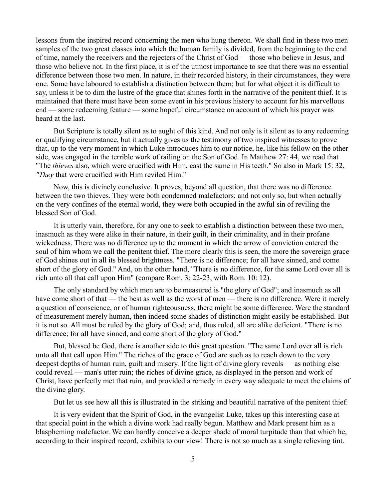lessons from the inspired record concerning the men who hung thereon. We shall find in these two men samples of the two great classes into which the human family is divided, from the beginning to the end of time, namely the receivers and the rejecters of the Christ of God — those who believe in Jesus, and those who believe not. In the first place, it is of the utmost importance to see that there was no essential difference between those two men. In nature, in their recorded history, in their circumstances, they were one. Some have laboured to establish a distinction between them; but for what object it is difficult to say, unless it be to dim the lustre of the grace that shines forth in the narrative of the penitent thief. It is maintained that there must have been some event in his previous history to account for his marvellous end — some redeeming feature — some hopeful circumstance on account of which his prayer was heard at the last.

But Scripture is totally silent as to aught of this kind. And not only is it silent as to any redeeming or qualifying circumstance, but it actually gives us the testimony of two inspired witnesses to prove that, up to the very moment in which Luke introduces him to our notice, he, like his fellow on the other side, was engaged in the terrible work of railing on the Son of God. In Matthew 27: 44, we read that "The *thieves* also, which were crucified with Him, cast the same in His teeth." So also in Mark 15: 32, *"They* that were crucified with Him reviled Him."

Now, this is divinely conclusive. It proves, beyond all question, that there was no difference between the two thieves. They were both condemned malefactors; and not only so, but when actually on the very confines of the eternal world, they were both occupied in the awful sin of reviling the blessed Son of God.

It is utterly vain, therefore, for any one to seek to establish a distinction between these two men, inasmuch as they were alike in their nature, in their guilt, in their criminality, and in their profane wickedness. There was no difference up to the moment in which the arrow of conviction entered the soul of him whom we call the penitent thief. The more clearly this is seen, the more the sovereign grace of God shines out in all its blessed brightness. "There is no difference; for all have sinned, and come short of the glory of God." And, on the other hand, "There is no difference, for the same Lord over all is rich unto all that call upon Him" (compare Rom. 3: 22-23, with Rom. 10: 12).

The only standard by which men are to be measured is "the glory of God"; and inasmuch as all have come short of that — the best as well as the worst of men — there is no difference. Were it merely a question of conscience, or of human righteousness, there might be some difference. Were the standard of measurement merely human, then indeed some shades of distinction might easily be established. But it is not so. All must be ruled by the glory of God; and, thus ruled, all are alike deficient. "There is no difference; for all have sinned, and come short of the glory of God."

But, blessed be God, there is another side to this great question. "The same Lord over all is rich unto all that call upon Him." The riches of the grace of God are such as to reach down to the very deepest depths of human ruin, guilt and misery. If the light of divine glory reveals — as nothing else could reveal — man's utter ruin; the riches of divine grace, as displayed in the person and work of Christ, have perfectly met that ruin, and provided a remedy in every way adequate to meet the claims of the divine glory.

But let us see how all this is illustrated in the striking and beautiful narrative of the penitent thief.

It is very evident that the Spirit of God, in the evangelist Luke, takes up this interesting case at that special point in the which a divine work had really begun. Matthew and Mark present him as a blaspheming malefactor. We can hardly conceive a deeper shade of moral turpitude than that which he, according to their inspired record, exhibits to our view! There is not so much as a single relieving tint.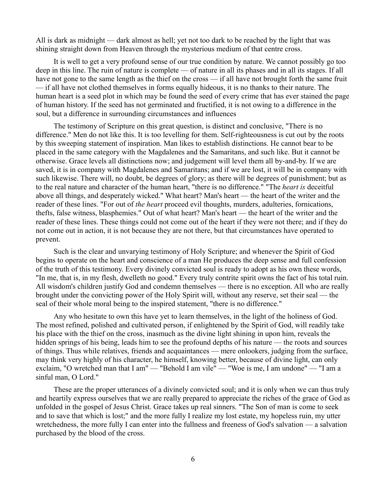All is dark as midnight — dark almost as hell; yet not too dark to be reached by the light that was shining straight down from Heaven through the mysterious medium of that centre cross.

It is well to get a very profound sense of our true condition by nature. We cannot possibly go too deep in this line. The ruin of nature is complete — of nature in all its phases and in all its stages. If all have not gone to the same length as the thief on the cross — if all have not brought forth the same fruit — if all have not clothed themselves in forms equally hideous, it is no thanks to their nature. The human heart is a seed plot in which may be found the seed of every crime that has ever stained the page of human history. If the seed has not germinated and fructified, it is not owing to a difference in the soul, but a difference in surrounding circumstances and influences

The testimony of Scripture on this great question, is distinct and conclusive, "There is no difference." Men do not like this. It is too levelling for them. Self-righteousness is cut out by the roots by this sweeping statement of inspiration. Man likes to establish distinctions. He cannot bear to be placed in the same category with the Magdalenes and the Samaritans, and such like. But it cannot be otherwise. Grace levels all distinctions now; and judgement will level them all by-and-by. If we are saved, it is in company with Magdalenes and Samaritans; and if we are lost, it will be in company with such likewise. There will, no doubt, be degrees of glory; as there will be degrees of punishment; but as to the real nature and character of the human heart, "there is no difference." "The *heart is* deceitful above all things, and desperately wicked." What heart? Man's heart — the heart of the writer and the reader of these lines. "For out of *the heart* proceed evil thoughts, murders, adulteries, fornications, thefts, false witness, blasphemies." Out of what heart? Man's heart — the heart of the writer and the reader of these lines. These things could not come out of the heart if they were not there; and if they do not come out in action, it is not because they are not there, but that circumstances have operated to prevent.

Such is the clear and unvarying testimony of Holy Scripture; and whenever the Spirit of God begins to operate on the heart and conscience of a man He produces the deep sense and full confession of the truth of this testimony. Every divinely convicted soul is ready to adopt as his own these words, "In me, that is, in my flesh, dwelleth no good." Every truly contrite spirit owns the fact of his total ruin. All wisdom's children justify God and condemn themselves — there is no exception. All who are really brought under the convicting power of the Holy Spirit will, without any reserve, set their seal — the seal of their whole moral being to the inspired statement, "there is no difference."

Any who hesitate to own this have yet to learn themselves, in the light of the holiness of God. The most refined, polished and cultivated person, if enlightened by the Spirit of God, will readily take his place with the thief on the cross, inasmuch as the divine light shining in upon him, reveals the hidden springs of his being, leads him to see the profound depths of his nature — the roots and sources of things. Thus while relatives, friends and acquaintances — mere onlookers, judging from the surface, may think very highly of his character, he himself, knowing better, because of divine light, can only exclaim, "O wretched man that I am" — "Behold I am vile" — "Woe is me, I am undone" — "I am a sinful man, O Lord."

These are the proper utterances of a divinely convicted soul; and it is only when we can thus truly and heartily express ourselves that we are really prepared to appreciate the riches of the grace of God as unfolded in the gospel of Jesus Christ. Grace takes up real sinners. "The Son of man is come to seek and to save that which is lost;" and the more fully I realize my lost estate, my hopeless ruin, my utter wretchedness, the more fully I can enter into the fullness and freeness of God's salvation — a salvation purchased by the blood of the cross.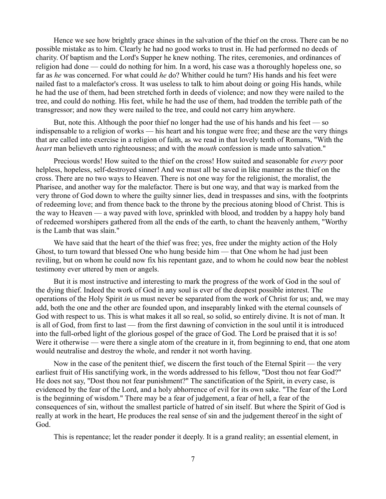Hence we see how brightly grace shines in the salvation of the thief on the cross. There can be no possible mistake as to him. Clearly he had no good works to trust in. He had performed no deeds of charity. Of baptism and the Lord's Supper he knew nothing. The rites, ceremonies, and ordinances of religion had done — could do nothing for him. In a word, his case was a thoroughly hopeless one, so far as *he* was concerned. For what could *he* do? Whither could he turn? His hands and his feet were nailed fast to a malefactor's cross. It was useless to talk to him about doing or going His hands, while he had the use of them, had been stretched forth in deeds of violence; and now they were nailed to the tree, and could do nothing. His feet, while he had the use of them, had trodden the terrible path of the transgressor; and now they were nailed to the tree, and could not carry him anywhere.

But, note this. Although the poor thief no longer had the use of his hands and his feet  $\sim$  so indispensable to a religion of works — his heart and his tongue were free; and these are the very things that are called into exercise in a religion of faith, as we read in that lovely tenth of Romans, "With the *heart* man believeth unto righteousness; and with the *mouth* confession is made unto salvation."

Precious words! How suited to the thief on the cross! How suited and seasonable for *every* poor helpless, hopeless, self-destroyed sinner! And we must all be saved in like manner as the thief on the cross. There are no two ways to Heaven. There is not one way for the religionist, the moralist, the Pharisee, and another way for the malefactor. There is but one way, and that way is marked from the very throne of God down to where the guilty sinner lies, dead in trespasses and sins, with the footprints of redeeming love; and from thence back to the throne by the precious atoning blood of Christ. This is the way to Heaven — a way paved with love, sprinkled with blood, and trodden by a happy holy band of redeemed worshipers gathered from all the ends of the earth, to chant the heavenly anthem, "Worthy is the Lamb that was slain."

We have said that the heart of the thief was free; yes, free under the mighty action of the Holy Ghost, to turn toward that blessed One who hung beside him — that One whom he had just been reviling, but on whom he could now fix his repentant gaze, and to whom he could now bear the noblest testimony ever uttered by men or angels.

But it is most instructive and interesting to mark the progress of the work of God in the soul of the dying thief. Indeed the work of God in any soul is ever of the deepest possible interest. The operations of the Holy Spirit *in* us must never be separated from the work of Christ for us; and, we may add, both the one and the other are founded upon, and inseparably linked with the eternal counsels of God with respect to us. This is what makes it all so real, so solid, so entirely divine. It is not of man. It is all of God, from first to last — from the first dawning of conviction in the soul until it is introduced into the full-orbed light of the glorious gospel of the grace of God. The Lord be praised that it is so! Were it otherwise — were there a single atom of the creature in it, from beginning to end, that one atom would neutralise and destroy the whole, and render it not worth having.

Now in the case of the penitent thief, we discern the first touch of the Eternal Spirit — the very earliest fruit of His sanctifying work, in the words addressed to his fellow, "Dost thou not fear God?" He does not say, "Dost thou not fear punishment?" The sanctification of the Spirit, in every case, is evidenced by the fear of the Lord, and a holy abhorrence of evil for its own sake. "The fear of the Lord is the beginning of wisdom." There may be a fear of judgement, a fear of hell, a fear of the consequences of sin, without the smallest particle of hatred of sin itself. But where the Spirit of God is really at work in the heart, He produces the real sense of sin and the judgement thereof in the sight of God.

This is repentance; let the reader ponder it deeply. It is a grand reality; an essential element, in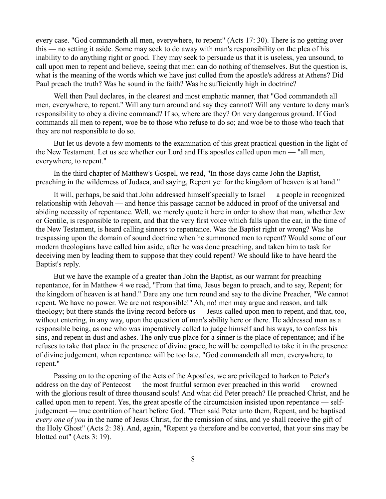every case. "God commandeth all men, everywhere, to repent" (Acts 17: 30). There is no getting over this — no setting it aside. Some may seek to do away with man's responsibility on the plea of his inability to do anything right or good. They may seek to persuade us that it is useless, yea unsound, to call upon men to repent and believe, seeing that men can do nothing of themselves. But the question is, what is the meaning of the words which we have just culled from the apostle's address at Athens? Did Paul preach the truth? Was he sound in the faith? Was he sufficiently high in doctrine?

Well then Paul declares, in the clearest and most emphatic manner, that "God commandeth all men, everywhere, to repent." Will any turn around and say they cannot? Will any venture to deny man's responsibility to obey a divine command? If so, where are they? On very dangerous ground. If God commands all men to repent, woe be to those who refuse to do so; and woe be to those who teach that they are not responsible to do so.

But let us devote a few moments to the examination of this great practical question in the light of the New Testament. Let us see whether our Lord and His apostles called upon men — "all men, everywhere, to repent."

In the third chapter of Matthew's Gospel, we read, "In those days came John the Baptist, preaching in the wilderness of Judaea, and saying, Repent ye: for the kingdom of heaven is at hand."

It will, perhaps, be said that John addressed himself specially to Israel — a people in recognized relationship with Jehovah — and hence this passage cannot be adduced in proof of the universal and abiding necessity of repentance. Well, we merely quote it here in order to show that man, whether Jew or Gentile, is responsible to repent, and that the very first voice which falls upon the ear, in the time of the New Testament, is heard calling sinners to repentance. Was the Baptist right or wrong? Was he trespassing upon the domain of sound doctrine when he summoned men to repent? Would some of our modern theologians have called him aside, after he was done preaching, and taken him to task for deceiving men by leading them to suppose that they could repent? We should like to have heard the Baptist's reply.

But we have the example of a greater than John the Baptist, as our warrant for preaching repentance, for in Matthew 4 we read, "From that time, Jesus began to preach, and to say, Repent; for the kingdom of heaven is at hand." Dare any one turn round and say to the divine Preacher, "We cannot repent. We have no power. We are not responsible!" Ah, no! men may argue and reason, and talk theology; but there stands the living record before us — Jesus called upon men to repent, and that, too, without entering, in any way, upon the question of man's ability here or there. He addressed man as a responsible being, as one who was imperatively called to judge himself and his ways, to confess his sins, and repent in dust and ashes. The only true place for a sinner is the place of repentance; and if he refuses to take that place in the presence of divine grace, he will be compelled to take it in the presence of divine judgement, when repentance will be too late. "God commandeth all men, everywhere, to repent."

Passing on to the opening of the Acts of the Apostles, we are privileged to harken to Peter's address on the day of Pentecost — the most fruitful sermon ever preached in this world — crowned with the glorious result of three thousand souls! And what did Peter preach? He preached Christ, and he called upon men to repent. Yes, the great apostle of the circumcision insisted upon repentance — selfjudgement — true contrition of heart before God. "Then said Peter unto them, Repent, and be baptised *every one of you* in the name of Jesus Christ, for the remission of sins, and ye shall receive the gift of the Holy Ghost" (Acts 2: 38). And, again, "Repent ye therefore and be converted, that your sins may be blotted out" (Acts 3: 19).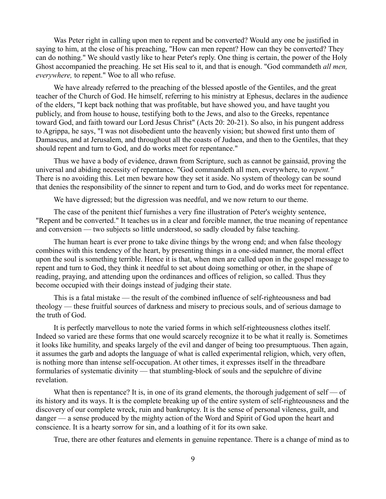Was Peter right in calling upon men to repent and be converted? Would any one be justified in saying to him, at the close of his preaching, "How can men repent? How can they be converted? They can do nothing." We should vastly like to hear Peter's reply. One thing is certain, the power of the Holy Ghost accompanied the preaching. He set His seal to it, and that is enough. "God commandeth *all men, everywhere,* to repent." Woe to all who refuse.

We have already referred to the preaching of the blessed apostle of the Gentiles, and the great teacher of the Church of God. He himself, referring to his ministry at Ephesus, declares in the audience of the elders, "I kept back nothing that was profitable, but have showed you, and have taught you publicly, and from house to house, testifying both to the Jews, and also to the Greeks, repentance toward God, and faith toward our Lord Jesus Christ" (Acts 20: 20-21). So also, in his pungent address to Agrippa, he says, "I was not disobedient unto the heavenly vision; but showed first unto them of Damascus, and at Jerusalem, and throughout all the coasts of Judaea, and then to the Gentiles, that they should repent and turn to God, and do works meet for repentance."

Thus we have a body of evidence, drawn from Scripture, such as cannot be gainsaid, proving the universal and abiding necessity of repentance. "God commandeth all men, everywhere, to *repent."* There is no avoiding this. Let men beware how they set it aside. No system of theology can be sound that denies the responsibility of the sinner to repent and turn to God, and do works meet for repentance.

We have digressed; but the digression was needful, and we now return to our theme.

The case of the penitent thief furnishes a very fine illustration of Peter's weighty sentence, "Repent and be converted." It teaches us in a clear and forcible manner, the true meaning of repentance and conversion — two subjects so little understood, so sadly clouded by false teaching.

The human heart is ever prone to take divine things by the wrong end; and when false theology combines with this tendency of the heart, by presenting things in a one-sided manner, the moral effect upon the soul is something terrible. Hence it is that, when men are called upon in the gospel message to repent and turn to God, they think it needful to set about doing something or other, in the shape of reading, praying, and attending upon the ordinances and offices of religion, so called. Thus they become occupied with their doings instead of judging their state.

This is a fatal mistake — the result of the combined influence of self-righteousness and bad theology — these fruitful sources of darkness and misery to precious souls, and of serious damage to the truth of God.

It is perfectly marvellous to note the varied forms in which self-righteousness clothes itself. Indeed so varied are these forms that one would scarcely recognize it to be what it really is. Sometimes it looks like humility, and speaks largely of the evil and danger of being too presumptuous. Then again, it assumes the garb and adopts the language of what is called experimental religion, which, very often, is nothing more than intense self-occupation. At other times, it expresses itself in the threadbare formularies of systematic divinity — that stumbling-block of souls and the sepulchre of divine revelation.

What then is repentance? It is, in one of its grand elements, the thorough judgement of self  $\sim$  of its history and its ways. It is the complete breaking up of the entire system of self-righteousness and the discovery of our complete wreck, ruin and bankruptcy. It is the sense of personal vileness, guilt, and danger — a sense produced by the mighty action of the Word and Spirit of God upon the heart and conscience. It is a hearty sorrow for sin, and a loathing of it for its own sake.

True, there are other features and elements in genuine repentance. There is a change of mind as to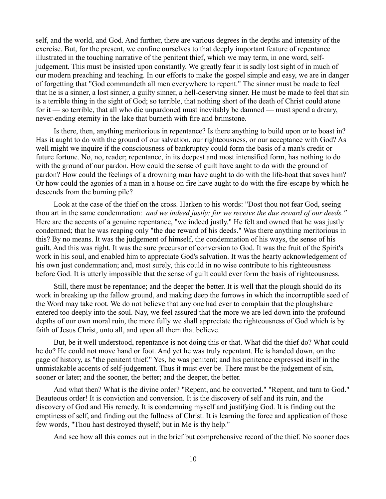self, and the world, and God. And further, there are various degrees in the depths and intensity of the exercise. But, for the present, we confine ourselves to that deeply important feature of repentance illustrated in the touching narrative of the penitent thief, which we may term, in one word, selfjudgement. This must be insisted upon constantly. We greatly fear it is sadly lost sight of in much of our modern preaching and teaching. In our efforts to make the gospel simple and easy, we are in danger of forgetting that "God commandeth all men everywhere to repent." The sinner must be made to feel that he is a sinner, a lost sinner, a guilty sinner, a hell-deserving sinner. He must be made to feel that sin is a terrible thing in the sight of God; so terrible, that nothing short of the death of Christ could atone for it — so terrible, that all who die unpardoned must inevitably be damned — must spend a dreary, never-ending eternity in the lake that burneth with fire and brimstone.

Is there, then, anything meritorious in repentance? Is there anything to build upon or to boast in? Has it aught to do with the ground of our salvation, our righteousness, or our acceptance with God? As well might we inquire if the consciousness of bankruptcy could form the basis of a man's credit or future fortune. No, no, reader; repentance, in its deepest and most intensified form, has nothing to do with the ground of our pardon. How could the sense of guilt have aught to do with the ground of pardon? How could the feelings of a drowning man have aught to do with the life-boat that saves him? Or how could the agonies of a man in a house on fire have aught to do with the fire-escape by which he descends from the burning pile?

Look at the case of the thief on the cross. Harken to his words: "Dost thou not fear God, seeing thou art in the same condemnation: *and we indeed justly; for we receive the due reward of our deeds."* Here are the accents of a genuine repentance, "we indeed justly." He felt and owned that he was justly condemned; that he was reaping only "the due reward of his deeds." Was there anything meritorious in this? By no means. It was the judgement of himself, the condemnation of his ways, the sense of his guilt. And this was right. It was the sure precursor of conversion to God. It was the fruit of the Spirit's work in his soul, and enabled him to appreciate God's salvation. It was the hearty acknowledgement of his own just condemnation; and, most surely, this could in no wise contribute to his righteousness before God. It is utterly impossible that the sense of guilt could ever form the basis of righteousness.

Still, there must be repentance; and the deeper the better. It is well that the plough should do its work in breaking up the fallow ground, and making deep the furrows in which the incorruptible seed of the Word may take root. We do not believe that any one had ever to complain that the ploughshare entered too deeply into the soul. Nay, we feel assured that the more we are led down into the profound depths of our own moral ruin, the more fully we shall appreciate the righteousness of God which is by faith of Jesus Christ, unto all, and upon all them that believe.

But, be it well understood, repentance is not doing this or that. What did the thief do? What could he do? He could not move hand or foot. And yet he was truly repentant. He is handed down, on the page of history, as "the penitent thief." Yes, he was penitent; and his penitence expressed itself in the unmistakable accents of self-judgement. Thus it must ever be. There must be the judgement of sin, sooner or later; and the sooner, the better; and the deeper, the better.

And what then? What is the divine order? "Repent, and be converted." "Repent, and turn to God." Beauteous order! It is conviction and conversion. It is the discovery of self and its ruin, and the discovery of God and His remedy. It is condemning myself and justifying God. It is finding out the emptiness of self, and finding out the fullness of Christ. It is learning the force and application of those few words, "Thou hast destroyed thyself; but in Me is thy help."

And see how all this comes out in the brief but comprehensive record of the thief. No sooner does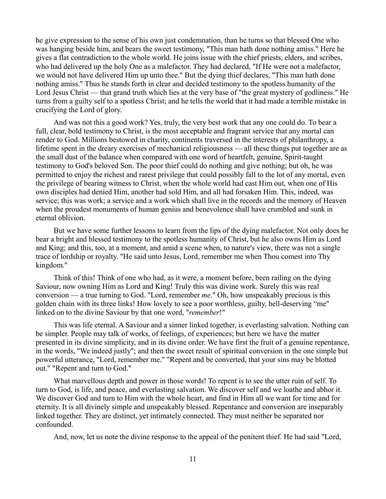he give expression to the sense of his own just condemnation, than he turns so that blessed One who was hanging beside him, and bears the sweet testimony, "This man hath done nothing amiss." Here he gives a flat contradiction to the whole world. He joins issue with the chief priests, elders, and scribes, who had delivered up the holy One as a malefactor. They had declared, "If He were not a malefactor, we would not have delivered Him up unto thee." But the dying thief declares, "This man hath done nothing amiss." Thus he stands forth in clear and decided testimony to the spotless humanity of the Lord Jesus Christ — that grand truth which lies at the very base of "the great mystery of godliness." He turns from a guilty self to a spotless Christ; and he tells the world that it had made a terrible mistake in crucifying the Lord of glory.

And was not this a good work? Yes, truly, the very best work that any one could do. To bear a full, clear, bold testimony to Christ, is the most acceptable and fragrant service that any mortal can render to God. Millions bestowed in charity, continents traversed in the interests of philanthropy, a lifetime spent in the dreary exercises of mechanical religiousness — all these things put together are as the small dust of the balance when compared with one word of heartfelt, genuine, Spirit-taught testimony to God's beloved Son. The poor thief could do nothing and give nothing; but oh, he was permitted to enjoy the richest and rarest privilege that could possibly fall to the lot of any mortal, even the privilege of bearing witness to Christ, when the whole world had cast Him out, when one of His own disciples had denied Him, another had sold Him, and all had forsaken Him. This, indeed, was service; this was work; a service and a work which shall live in the records and the memory of Heaven when the proudest monuments of human genius and benevolence shall have crumbled and sunk in eternal oblivion.

But we have some further lessons to learn from the lips of the dying malefactor. Not only does he bear a bright and blessed testimony to the spotless humanity of Christ, but he also owns Him as Lord and King; and this, too, at a moment, and amid a scene when, to nature's view, there was not a single trace of lordship or royalty. "He said unto Jesus, Lord, remember me when Thou comest into Thy kingdom."

Think of this! Think of one who had, as it were, a moment before, been railing on the dying Saviour, now owning Him as Lord and King! Truly this was divine work. Surely this was real conversion — a true turning to God. "Lord, remember *me*." Oh, how unspeakably precious is this golden chain with its three links! How lovely to see a poor worthless, guilty, hell-deserving "me" linked on to the divine Saviour by that one word, "*remember*!"

This was life eternal. A Saviour and a sinner linked together, is everlasting salvation. Nothing can be simpler. People may talk of works, of feelings, of experiences; but here we have the matter presented in its divine simplicity, and in its divine order. We have first the fruit of a genuine repentance, in the words, "We indeed justly"; and then the sweet result of spiritual conversion in the one simple but powerful utterance, "Lord, remember me." "Repent and be converted, that your sins may be blotted out." "Repent and turn to God."

What marvellous depth and power in those words! To repent is to see the utter ruin of self. To turn to God, is life, and peace, and everlasting salvation. We discover self and we loathe and abhor it. We discover God and turn to Him with the whole heart, and find in Him all we want for time and for eternity. It is all divinely simple and unspeakably blessed. Repentance and conversion are inseparably linked together. They are distinct, yet intimately connected. They must neither be separated nor confounded.

And, now, let us note the divine response to the appeal of the penitent thief. He had said "Lord,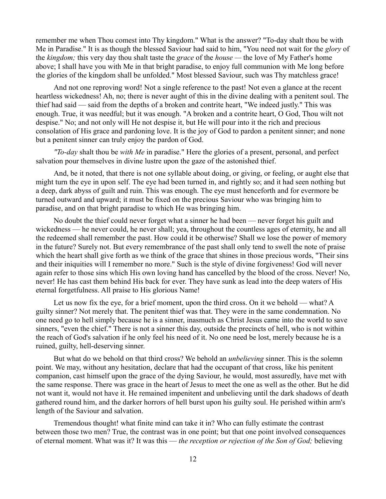remember me when Thou comest into Thy kingdom." What is the answer? "To-day shalt thou be with Me in Paradise." It is as though the blessed Saviour had said to him, "You need not wait for the *glory* of the *kingdom;* this very day thou shalt taste the *grace* of the *house —* the love of My Father's home above; I shall have you with Me in that bright paradise, to enjoy full communion with Me long before the glories of the kingdom shall be unfolded." Most blessed Saviour, such was Thy matchless grace!

And not one reproving word! Not a single reference to the past! Not even a glance at the recent heartless wickedness! Ah, no; there is never aught of this in the divine dealing with a penitent soul. The thief had said — said from the depths of a broken and contrite heart, "We indeed justly." This was enough. True, it was needful; but it was enough. "A broken and a contrite heart, O God, Thou wilt not despise." No; and not only will He not despise it, but He will pour into it the rich and precious consolation of His grace and pardoning love. It is the joy of God to pardon a penitent sinner; and none but a penitent sinner can truly enjoy the pardon of God.

*"To-day* shalt thou be *with Me* in paradise." Here the glories of a present, personal, and perfect salvation pour themselves in divine lustre upon the gaze of the astonished thief.

And, be it noted, that there is not one syllable about doing, or giving, or feeling, or aught else that might turn the eye in upon self. The eye had been turned in, and rightly so; and it had seen nothing but a deep, dark abyss of guilt and ruin. This was enough. The eye must henceforth and for evermore be turned outward and upward; it must be fixed on the precious Saviour who was bringing him to paradise, and on that bright paradise to which He was bringing him.

No doubt the thief could never forget what a sinner he had been — never forget his guilt and wickedness — he never could, he never shall; yea, throughout the countless ages of eternity, he and all the redeemed shall remember the past. How could it be otherwise? Shall we lose the power of memory in the future? Surely not. But every remembrance of the past shall only tend to swell the note of praise which the heart shall give forth as we think of the grace that shines in those precious words, "Their sins" and their iniquities will I remember no more." Such is the style of divine forgiveness! God will never again refer to those sins which His own loving hand has cancelled by the blood of the cross. Never! No, never! He has cast them behind His back for ever. They have sunk as lead into the deep waters of His eternal forgetfulness. All praise to His glorious Name!

Let us now fix the eye, for a brief moment, upon the third cross. On it we behold — what? A guilty sinner? Not merely that. The penitent thief was that. They were in the same condemnation. No one need go to hell simply because he is a sinner, inasmuch as Christ Jesus came into the world to save sinners, "even the chief." There is not a sinner this day, outside the precincts of hell, who is not within the reach of God's salvation if he only feel his need of it. No one need be lost, merely because he is a ruined, guilty, hell-deserving sinner.

But what do we behold on that third cross? We behold an *unbelieving* sinner. This is the solemn point. We may, without any hesitation, declare that had the occupant of that cross, like his penitent companion, cast himself upon the grace of the dying Saviour, he would, most assuredly, have met with the same response. There was grace in the heart of Jesus to meet the one as well as the other. But he did not want it, would not have it. He remained impenitent and unbelieving until the dark shadows of death gathered round him, and the darker horrors of hell burst upon his guilty soul. He perished within arm's length of the Saviour and salvation.

Tremendous thought! what finite mind can take it in? Who can fully estimate the contrast between those two men? True, the contrast was in one point; but that one point involved consequences of eternal moment. What was it? It was this — *the reception or rejection of the Son of God;* believing